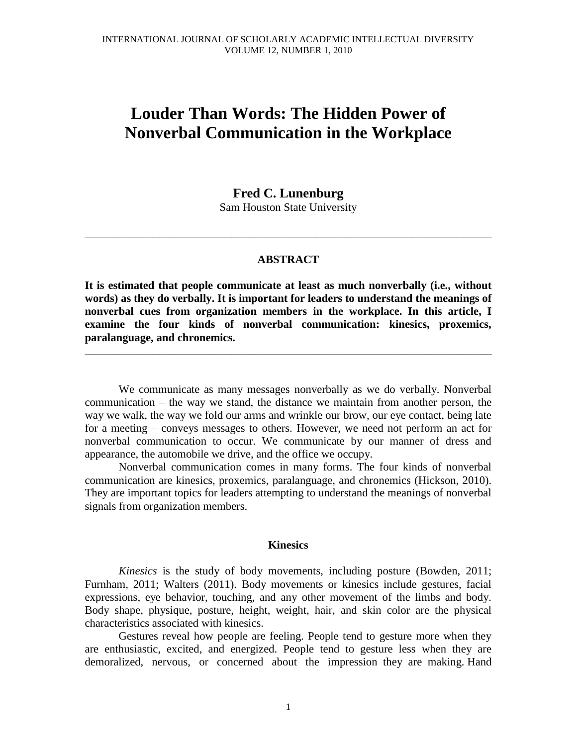# **Louder Than Words: The Hidden Power of Nonverbal Communication in the Workplace**

# **Fred C. Lunenburg**

Sam Houston State University

\_\_\_\_\_\_\_\_\_\_\_\_\_\_\_\_\_\_\_\_\_\_\_\_\_\_\_\_\_\_\_\_\_\_\_\_\_\_\_\_\_\_\_\_\_\_\_\_\_\_\_\_\_\_\_\_\_\_\_\_\_\_\_\_\_\_\_\_\_\_\_\_

## **ABSTRACT**

**It is estimated that people communicate at least as much nonverbally (i.e., without words) as they do verbally. It is important for leaders to understand the meanings of nonverbal cues from organization members in the workplace. In this article, I examine the four kinds of nonverbal communication: kinesics, proxemics, paralanguage, and chronemics.**

\_\_\_\_\_\_\_\_\_\_\_\_\_\_\_\_\_\_\_\_\_\_\_\_\_\_\_\_\_\_\_\_\_\_\_\_\_\_\_\_\_\_\_\_\_\_\_\_\_\_\_\_\_\_\_\_\_\_\_\_\_\_\_\_\_\_\_\_\_\_\_\_

We communicate as many messages nonverbally as we do verbally. Nonverbal communication – the way we stand, the distance we maintain from another person, the way we walk, the way we fold our arms and wrinkle our brow, our eye contact, being late for a meeting – conveys messages to others. However, we need not perform an act for nonverbal communication to occur. We communicate by our manner of dress and appearance, the automobile we drive, and the office we occupy.

Nonverbal communication comes in many forms. The four kinds of nonverbal communication are kinesics, proxemics, paralanguage, and chronemics (Hickson, 2010). They are important topics for leaders attempting to understand the meanings of nonverbal signals from organization members.

#### **Kinesics**

*Kinesics* is the study of body movements, including posture (Bowden, 2011; Furnham, 2011; Walters (2011). Body movements or kinesics include gestures, facial expressions, eye behavior, touching, and any other movement of the limbs and body. Body shape, physique, posture, height, weight, hair, and skin color are the physical characteristics associated with kinesics.

Gestures reveal how people are feeling. People tend to gesture more when they are enthusiastic, excited, and energized. People tend to gesture less when they are demoralized, nervous, or concerned about the impression they are making. Hand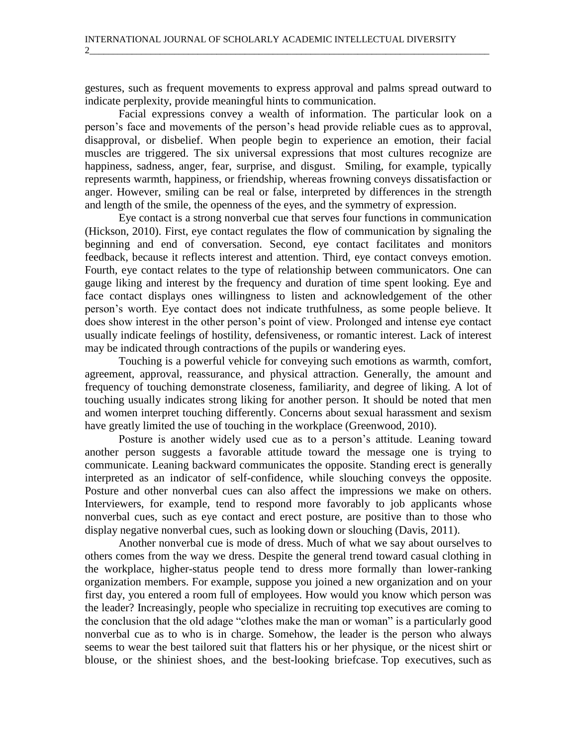gestures, such as frequent movements to express approval and palms spread outward to indicate perplexity, provide meaningful hints to communication.

2\_\_\_\_\_\_\_\_\_\_\_\_\_\_\_\_\_\_\_\_\_\_\_\_\_\_\_\_\_\_\_\_\_\_\_\_\_\_\_\_\_\_\_\_\_\_\_\_\_\_\_\_\_\_\_\_\_\_\_\_\_\_\_\_\_\_\_\_\_\_\_\_\_\_\_\_\_\_\_\_\_\_\_\_\_

Facial expressions convey a wealth of information. The particular look on a person's face and movements of the person's head provide reliable cues as to approval, disapproval, or disbelief. When people begin to experience an emotion, their facial muscles are triggered. The six universal expressions that most cultures recognize are happiness, sadness, anger, fear, surprise, and disgust. Smiling, for example, typically represents warmth, happiness, or friendship, whereas frowning conveys dissatisfaction or anger. However, smiling can be real or false, interpreted by differences in the strength and length of the smile, the openness of the eyes, and the symmetry of expression.

Eye contact is a strong nonverbal cue that serves four functions in communication (Hickson, 2010). First, eye contact regulates the flow of communication by signaling the beginning and end of conversation. Second, eye contact facilitates and monitors feedback, because it reflects interest and attention. Third, eye contact conveys emotion. Fourth, eye contact relates to the type of relationship between communicators. One can gauge liking and interest by the frequency and duration of time spent looking. Eye and face contact displays ones willingness to listen and acknowledgement of the other person's worth. Eye contact does not indicate truthfulness, as some people believe. It does show interest in the other person's point of view. Prolonged and intense eye contact usually indicate feelings of hostility, defensiveness, or romantic interest. Lack of interest may be indicated through contractions of the pupils or wandering eyes.

Touching is a powerful vehicle for conveying such emotions as warmth, comfort, agreement, approval, reassurance, and physical attraction. Generally, the amount and frequency of touching demonstrate closeness, familiarity, and degree of liking. A lot of touching usually indicates strong liking for another person. It should be noted that men and women interpret touching differently. Concerns about sexual harassment and sexism have greatly limited the use of touching in the workplace (Greenwood, 2010).

Posture is another widely used cue as to a person's attitude. Leaning toward another person suggests a favorable attitude toward the message one is trying to communicate. Leaning backward communicates the opposite. Standing erect is generally interpreted as an indicator of self-confidence, while slouching conveys the opposite. Posture and other nonverbal cues can also affect the impressions we make on others. Interviewers, for example, tend to respond more favorably to job applicants whose nonverbal cues, such as eye contact and erect posture, are positive than to those who display negative nonverbal cues, such as looking down or slouching (Davis, 2011).

Another nonverbal cue is mode of dress. Much of what we say about ourselves to others comes from the way we dress. Despite the general trend toward casual clothing in the workplace, higher-status people tend to dress more formally than lower-ranking organization members. For example, suppose you joined a new organization and on your first day, you entered a room full of employees. How would you know which person was the leader? Increasingly, people who specialize in recruiting top executives are coming to the conclusion that the old adage "clothes make the man or woman" is a particularly good nonverbal cue as to who is in charge. Somehow, the leader is the person who always seems to wear the best tailored suit that flatters his or her physique, or the nicest shirt or blouse, or the shiniest shoes, and the best-looking briefcase. Top executives, such as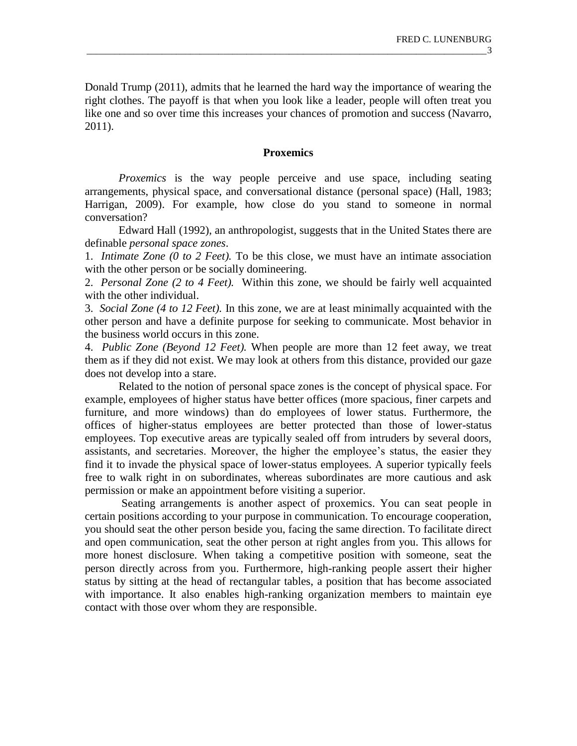Donald Trump (2011), admits that he learned the hard way the importance of wearing the right clothes. The payoff is that when you look like a leader, people will often treat you like one and so over time this increases your chances of promotion and success (Navarro, 2011).

## **Proxemics**

*Proxemics* is the way people perceive and use space, including seating arrangements, physical space, and conversational distance (personal space) (Hall, 1983; Harrigan, 2009). For example, how close do you stand to someone in normal conversation?

Edward Hall (1992), an anthropologist, suggests that in the United States there are definable *personal space zones*.

1. *Intimate Zone (0 to 2 Feet).* To be this close, we must have an intimate association with the other person or be socially domineering.

2. *Personal Zone (2 to 4 Feet).* Within this zone, we should be fairly well acquainted with the other individual.

3. *Social Zone (4 to 12 Feet).* In this zone, we are at least minimally acquainted with the other person and have a definite purpose for seeking to communicate. Most behavior in the business world occurs in this zone.

4. *Public Zone (Beyond 12 Feet).* When people are more than 12 feet away, we treat them as if they did not exist. We may look at others from this distance, provided our gaze does not develop into a stare.

Related to the notion of personal space zones is the concept of physical space. For example, employees of higher status have better offices (more spacious, finer carpets and furniture, and more windows) than do employees of lower status. Furthermore, the offices of higher-status employees are better protected than those of lower-status employees. Top executive areas are typically sealed off from intruders by several doors, assistants, and secretaries. Moreover, the higher the employee's status, the easier they find it to invade the physical space of lower-status employees. A superior typically feels free to walk right in on subordinates, whereas subordinates are more cautious and ask permission or make an appointment before visiting a superior.

Seating arrangements is another aspect of proxemics. You can seat people in certain positions according to your purpose in communication. To encourage cooperation, you should seat the other person beside you, facing the same direction. To facilitate direct and open communication, seat the other person at right angles from you. This allows for more honest disclosure. When taking a competitive position with someone, seat the person directly across from you. Furthermore, high-ranking people assert their higher status by sitting at the head of rectangular tables, a position that has become associated with importance. It also enables high-ranking organization members to maintain eye contact with those over whom they are responsible.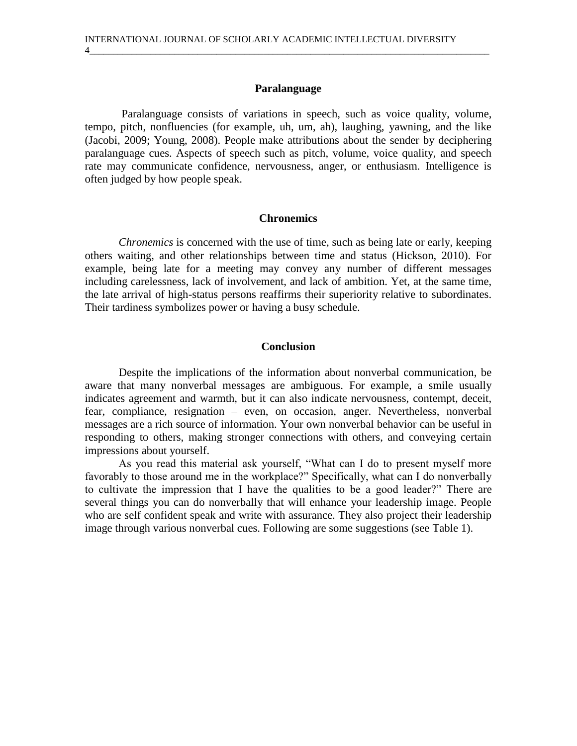# **Paralanguage**

4\_\_\_\_\_\_\_\_\_\_\_\_\_\_\_\_\_\_\_\_\_\_\_\_\_\_\_\_\_\_\_\_\_\_\_\_\_\_\_\_\_\_\_\_\_\_\_\_\_\_\_\_\_\_\_\_\_\_\_\_\_\_\_\_\_\_\_\_\_\_\_\_\_\_\_\_\_\_\_\_\_\_\_\_\_

Paralanguage consists of variations in speech, such as voice quality, volume, tempo, pitch, nonfluencies (for example, uh, um, ah), laughing, yawning, and the like (Jacobi, 2009; Young, 2008). People make attributions about the sender by deciphering paralanguage cues. Aspects of speech such as pitch, volume, voice quality, and speech rate may communicate confidence, nervousness, anger, or enthusiasm. Intelligence is often judged by how people speak.

#### **Chronemics**

*Chronemics* is concerned with the use of time, such as being late or early, keeping others waiting, and other relationships between time and status (Hickson, 2010). For example, being late for a meeting may convey any number of different messages including carelessness, lack of involvement, and lack of ambition. Yet, at the same time, the late arrival of high-status persons reaffirms their superiority relative to subordinates. Their tardiness symbolizes power or having a busy schedule.

#### **Conclusion**

Despite the implications of the information about nonverbal communication, be aware that many nonverbal messages are ambiguous. For example, a smile usually indicates agreement and warmth, but it can also indicate nervousness, contempt, deceit, fear, compliance, resignation – even, on occasion, anger. Nevertheless, nonverbal messages are a rich source of information. Your own nonverbal behavior can be useful in responding to others, making stronger connections with others, and conveying certain impressions about yourself.

As you read this material ask yourself, "What can I do to present myself more favorably to those around me in the workplace?" Specifically, what can I do nonverbally to cultivate the impression that I have the qualities to be a good leader?" There are several things you can do nonverbally that will enhance your leadership image. People who are self confident speak and write with assurance. They also project their leadership image through various nonverbal cues. Following are some suggestions (see Table 1).